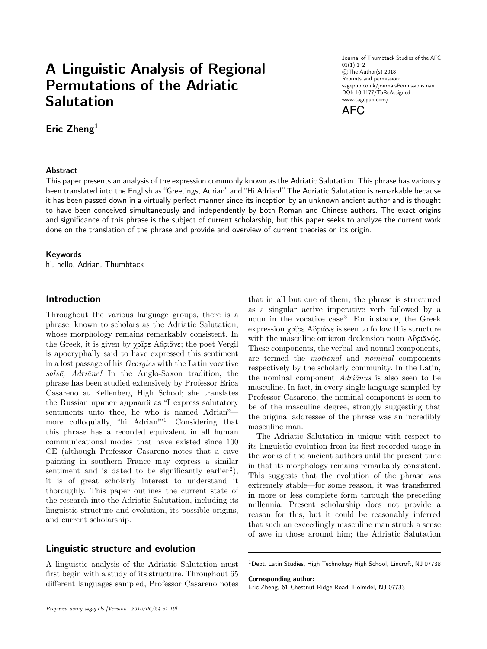# **A Linguistic Analysis of Regional Permutations of the Adriatic Salutation**

**Eric Zheng<sup>1</sup>**

#### **Abstract**

Journal of Thumbtack Studies of the AFC  $01(1):1-2$ ©The Author(s) 2018 Reprints and permission: sagepub.co.uk/journalsPermissions.nav DOI: 10.1177/ToBeAssigned www.sagepub.com/



This paper presents an analysis of the expression commonly known as the Adriatic Salutation. This phrase has variously been translated into the English as "Greetings, Adrian" and "Hi Adrian!" The Adriatic Salutation is remarkable because it has been passed down in a virtually perfect manner since its inception by an unknown ancient author and is thought to have been conceived simultaneously and independently by both Roman and Chinese authors. The exact origins and significance of this phrase is the subject of current scholarship, but this paper seeks to analyze the current work done on the translation of the phrase and provide and overview of current theories on its origin.

#### **Keywords**

hi, hello, Adrian, Thumbtack

## **Introduction**

Throughout the various language groups, there is a phrase, known to scholars as the Adriatic Salutation, whose morphology remains remarkably consistent. In the Greek, it is given by χαῖρε Αδριᾶνε; the poet Vergil is apocryphally said to have expressed this sentiment in a lost passage of his *Georgics* with the Latin vocative *salvē, Adriāne!* In the Anglo-Saxon tradition, the phrase has been studied extensively by Professor Erica Casareno at Kellenberg High School; she translates the Russian привет адрианй as "I express salutatory sentiments unto thee, he who is named Adrian" more colloquially, "hi Adrian!"<sup>1</sup>. Considering that this phrase has a recorded equivalent in all human communicational modes that have existed since 100 CE (although Professor Casareno notes that a cave painting in southern France may express a similar sentiment and is dated to be significantly earlier<sup>2</sup>), it is of great scholarly interest to understand it thoroughly. This paper outlines the current state of the research into the Adriatic Salutation, including its linguistic structure and evolution, its possible origins, and current scholarship.

# **Linguistic structure and evolution**

A linguistic analysis of the Adriatic Salutation must first begin with a study of its structure. Throughout 65 different languages sampled, Professor Casareno notes that in all but one of them, the phrase is structured as a singular active imperative verb followed by a noun in the vocative case<sup>3</sup>. For instance, the Greek expression χαῖρε Αδριᾶνε is seen to follow this structure with the masculine omicron declension noun Αδριᾶνός. These components, the verbal and nounal components, are termed the *motional* and *nominal* components respectively by the scholarly community. In the Latin, the nominal component *Adriānus* is also seen to be masculine. In fact, in every single language sampled by Professor Casareno, the nominal component is seen to be of the masculine degree, strongly suggesting that the original addressee of the phrase was an incredibly masculine man.

The Adriatic Salutation in unique with respect to its linguistic evolution from its first recorded usage in the works of the ancient authors until the present time in that its morphology remains remarkably consistent. This suggests that the evolution of the phrase was extremely stable—for some reason, it was transferred in more or less complete form through the preceding millennia. Present scholarship does not provide a reason for this, but it could be reasonably inferred that such an exceedingly masculine man struck a sense of awe in those around him; the Adriatic Salutation

<sup>1</sup>Dept. Latin Studies, High Technology High School, Lincroft, NJ 07738

**Corresponding author:**

Eric Zheng, 61 Chestnut Ridge Road, Holmdel, NJ 07733